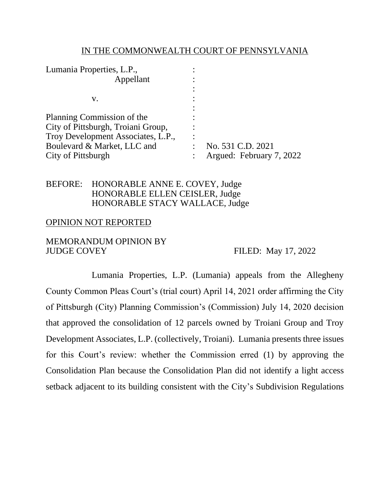#### IN THE COMMONWEALTH COURT OF PENNSYLVANIA

| No. 531 C.D. 2021        |
|--------------------------|
| Argued: February 7, 2022 |
|                          |

## BEFORE: HONORABLE ANNE E. COVEY, Judge HONORABLE ELLEN CEISLER, Judge HONORABLE STACY WALLACE, Judge

### OPINION NOT REPORTED

### MEMORANDUM OPINION BY JUDGE COVEY FILED: May 17, 2022

Lumania Properties, L.P. (Lumania) appeals from the Allegheny County Common Pleas Court's (trial court) April 14, 2021 order affirming the City of Pittsburgh (City) Planning Commission's (Commission) July 14, 2020 decision that approved the consolidation of 12 parcels owned by Troiani Group and Troy Development Associates, L.P. (collectively, Troiani). Lumania presents three issues for this Court's review: whether the Commission erred (1) by approving the Consolidation Plan because the Consolidation Plan did not identify a light access setback adjacent to its building consistent with the City's Subdivision Regulations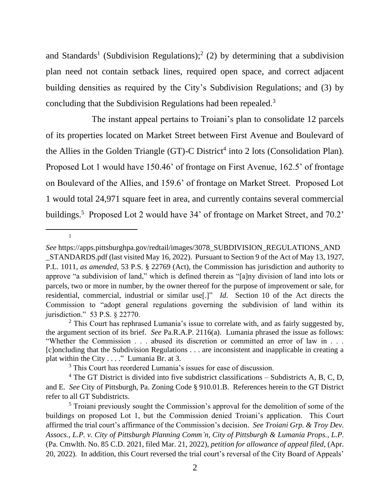and Standards<sup>1</sup> (Subdivision Regulations);<sup>2</sup> (2) by determining that a subdivision plan need not contain setback lines, required open space, and correct adjacent building densities as required by the City's Subdivision Regulations; and (3) by concluding that the Subdivision Regulations had been repealed.<sup>3</sup>

The instant appeal pertains to Troiani's plan to consolidate 12 parcels of its properties located on Market Street between First Avenue and Boulevard of the Allies in the Golden Triangle  $(T)$ -C District<sup>4</sup> into 2 lots (Consolidation Plan). Proposed Lot 1 would have 150.46' of frontage on First Avenue, 162.5' of frontage on Boulevard of the Allies, and 159.6' of frontage on Market Street. Proposed Lot 1 would total 24,971 square feet in area, and currently contains several commercial buildings.<sup>5</sup> Proposed Lot 2 would have 34' of frontage on Market Street, and 70.2'

1

*See* https://apps.pittsburghpa.gov/redtail/images/3078\_SUBDIVISION\_REGULATIONS\_AND \_STANDARDS.pdf (last visited May 16, 2022). Pursuant to Section 9 of the Act of May 13, 1927, P.L. 1011, *as amended*, 53 P.S. § 22769 (Act), the Commission has jurisdiction and authority to approve "a subdivision of land," which is defined therein as "[a]ny division of land into lots or parcels, two or more in number, by the owner thereof for the purpose of improvement or sale, for residential, commercial, industrial or similar use[.]" *Id*. Section 10 of the Act directs the Commission to "adopt general regulations governing the subdivision of land within its jurisdiction." 53 P.S. § 22770.

 $2$  This Court has rephrased Lumania's issue to correlate with, and as fairly suggested by, the argument section of its brief. *See* Pa.R.A.P. 2116(a). Lumania phrased the issue as follows: "Whether the Commission . . . abused its discretion or committed an error of law in . . . [c]oncluding that the Subdivision Regulations . . . are inconsistent and inapplicable in creating a plat within the City . . . ." Lumania Br. at 3.

<sup>&</sup>lt;sup>3</sup> This Court has reordered Lumania's issues for ease of discussion.

 $4$  The GT District is divided into five subdistrict classifications – Subdistricts A, B, C, D, and E. *See* City of Pittsburgh, Pa. Zoning Code § 910.01.B. References herein to the GT District refer to all GT Subdistricts.

 $<sup>5</sup>$  Troiani previously sought the Commission's approval for the demolition of some of the</sup> buildings on proposed Lot 1, but the Commission denied Troiani's application. This Court affirmed the trial court's affirmance of the Commission's decision. *See Troiani Grp. & Troy Dev. Assocs., L.P. v. City of Pittsburgh Planning Comm'n, City of Pittsburgh & Lumania Props., L.P.* (Pa. Cmwlth. No. 85 C.D. 2021, filed Mar. 21, 2022), *petition for allowance of appeal filed*, (Apr. 20, 2022). In addition, this Court reversed the trial court's reversal of the City Board of Appeals'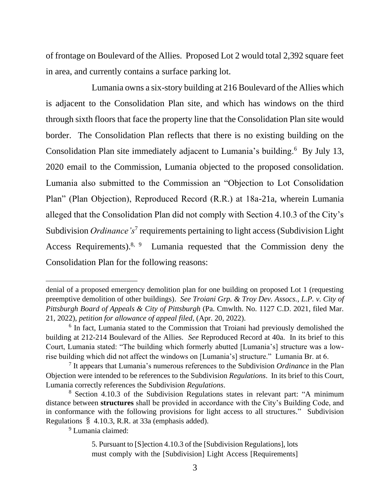of frontage on Boulevard of the Allies. Proposed Lot 2 would total 2,392 square feet in area, and currently contains a surface parking lot.

Lumania owns a six-story building at 216 Boulevard of the Allies which is adjacent to the Consolidation Plan site, and which has windows on the third through sixth floors that face the property line that the Consolidation Plan site would border. The Consolidation Plan reflects that there is no existing building on the Consolidation Plan site immediately adjacent to Lumania's building.<sup>6</sup> By July 13, 2020 email to the Commission, Lumania objected to the proposed consolidation. Lumania also submitted to the Commission an "Objection to Lot Consolidation Plan" (Plan Objection), Reproduced Record (R.R.) at 18a-21a, wherein Lumania alleged that the Consolidation Plan did not comply with Section 4.10.3 of the City's Subdivision *Ordinance's*<sup>7</sup> requirements pertaining to light access (Subdivision Light Access Requirements).<sup>8, 9</sup> Lumania requested that the Commission deny the Consolidation Plan for the following reasons:

<sup>9</sup> Lumania claimed:

denial of a proposed emergency demolition plan for one building on proposed Lot 1 (requesting preemptive demolition of other buildings). *See Troiani Grp. & Troy Dev. Assocs., L.P. v. City of Pittsburgh Board of Appeals & City of Pittsburgh* (Pa. Cmwlth. No. 1127 C.D. 2021, filed Mar. 21, 2022), *petition for allowance of appeal filed*, (Apr. 20, 2022).

<sup>&</sup>lt;sup>6</sup> In fact, Lumania stated to the Commission that Troiani had previously demolished the building at 212-214 Boulevard of the Allies. *See* Reproduced Record at 40a. In its brief to this Court, Lumania stated: "The building which formerly abutted [Lumania's] structure was a lowrise building which did not affect the windows on [Lumania's] structure." Lumania Br. at 6.

<sup>7</sup> It appears that Lumania's numerous references to the Subdivision *Ordinance* in the Plan Objection were intended to be references to the Subdivision *Regulations*. In its brief to this Court, Lumania correctly references the Subdivision *Regulations*.

<sup>8</sup> Section 4.10.3 of the Subdivision Regulations states in relevant part: "A minimum distance between **structures** shall be provided in accordance with the City's Building Code, and in conformance with the following provisions for light access to all structures." Subdivision Regulations § 4.10.3, R.R. at 33a (emphasis added).

<sup>5.</sup> Pursuant to [S]ection 4.10.3 of the [Subdivision Regulations], lots must comply with the [Subdivision] Light Access [Requirements]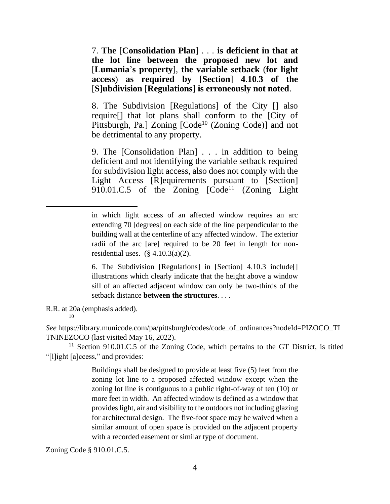7. **The** [**Consolidation Plan**] . . . **is deficient in that at the lot line between the proposed new lot and**  [**Lumania**'**s property**], **the variable setback** (**for light access**) **as required by** [**Section**] **4**.**10**.**3 of the**  [**S**]**ubdivision** [**Regulations**] **is erroneously not noted**.

8. The Subdivision [Regulations] of the City [] also require[] that lot plans shall conform to the [City of Pittsburgh, Pa.] Zoning [Code<sup>10</sup> (Zoning Code)] and not be detrimental to any property.

9. The [Consolidation Plan] . . . in addition to being deficient and not identifying the variable setback required for subdivision light access, also does not comply with the Light Access [R]equirements pursuant to [Section] 910.01.C.5 of the Zoning  $[\text{Code}^{11}$  (Zoning Light

10

*See* https://library.municode.com/pa/pittsburgh/codes/code\_of\_ordinances?nodeId=PIZOCO\_TI TNINEZOCO (last visited May 16, 2022).

 $11$  Section 910.01.C.5 of the Zoning Code, which pertains to the GT District, is titled "[l]ight [a]ccess," and provides:

> Buildings shall be designed to provide at least five (5) feet from the zoning lot line to a proposed affected window except when the zoning lot line is contiguous to a public right-of-way of ten (10) or more feet in width. An affected window is defined as a window that provides light, air and visibility to the outdoors not including glazing for architectural design. The five-foot space may be waived when a similar amount of open space is provided on the adjacent property with a recorded easement or similar type of document.

Zoning Code § 910.01.C.5.

in which light access of an affected window requires an arc extending 70 [degrees] on each side of the line perpendicular to the building wall at the centerline of any affected window. The exterior radii of the arc [are] required to be 20 feet in length for nonresidential uses.  $(\S$  4.10.3(a)(2).

<sup>6.</sup> The Subdivision [Regulations] in [Section] 4.10.3 include[] illustrations which clearly indicate that the height above a window sill of an affected adjacent window can only be two-thirds of the setback distance **between the structures**. . . .

R.R. at 20a (emphasis added).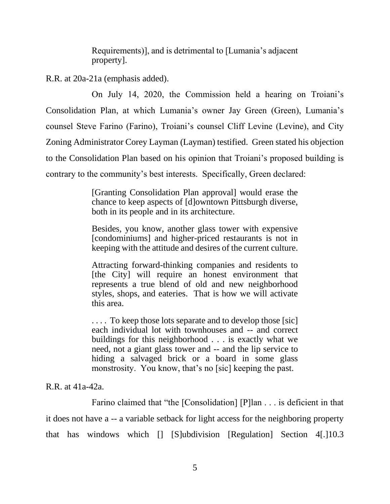Requirements)], and is detrimental to [Lumania's adjacent property].

R.R. at 20a-21a (emphasis added).

On July 14, 2020, the Commission held a hearing on Troiani's Consolidation Plan, at which Lumania's owner Jay Green (Green), Lumania's counsel Steve Farino (Farino), Troiani's counsel Cliff Levine (Levine), and City Zoning Administrator Corey Layman (Layman) testified. Green stated his objection to the Consolidation Plan based on his opinion that Troiani's proposed building is contrary to the community's best interests. Specifically, Green declared:

> [Granting Consolidation Plan approval] would erase the chance to keep aspects of [d]owntown Pittsburgh diverse, both in its people and in its architecture.

> Besides, you know, another glass tower with expensive [condominiums] and higher-priced restaurants is not in keeping with the attitude and desires of the current culture.

> Attracting forward-thinking companies and residents to [the City] will require an honest environment that represents a true blend of old and new neighborhood styles, shops, and eateries. That is how we will activate this area.

> ... To keep those lots separate and to develop those [sic] each individual lot with townhouses and -- and correct buildings for this neighborhood . . . is exactly what we need, not a giant glass tower and -- and the lip service to hiding a salvaged brick or a board in some glass monstrosity. You know, that's no [sic] keeping the past.

R.R. at  $41a-42a$ .

Farino claimed that "the [Consolidation] [P]lan . . . is deficient in that it does not have a -- a variable setback for light access for the neighboring property that has windows which [] [S]ubdivision [Regulation] Section 4[.]10.3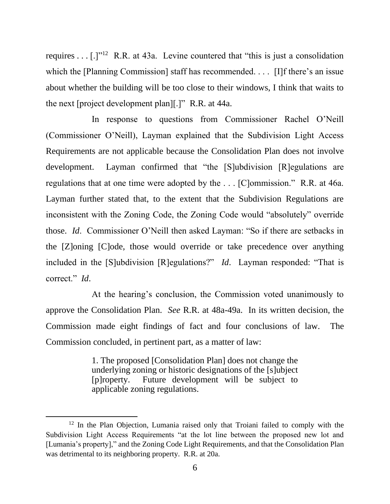requires . . .  $[.]^{y12}$  R.R. at 43a. Levine countered that "this is just a consolidation which the [Planning Commission] staff has recommended. . . . [I]f there's an issue about whether the building will be too close to their windows, I think that waits to the next [project development plan][.]" R.R. at 44a.

In response to questions from Commissioner Rachel O'Neill (Commissioner O'Neill), Layman explained that the Subdivision Light Access Requirements are not applicable because the Consolidation Plan does not involve development. Layman confirmed that "the [S]ubdivision [R]egulations are regulations that at one time were adopted by the . . . [C]ommission." R.R. at 46a. Layman further stated that, to the extent that the Subdivision Regulations are inconsistent with the Zoning Code, the Zoning Code would "absolutely" override those. *Id*. Commissioner O'Neill then asked Layman: "So if there are setbacks in the [Z]oning [C]ode, those would override or take precedence over anything included in the [S]ubdivision [R]egulations?" *Id*. Layman responded: "That is correct." *Id*.

At the hearing's conclusion, the Commission voted unanimously to approve the Consolidation Plan. *See* R.R. at 48a-49a. In its written decision, the Commission made eight findings of fact and four conclusions of law. The Commission concluded, in pertinent part, as a matter of law:

> 1. The proposed [Consolidation Plan] does not change the underlying zoning or historic designations of the [s]ubject [p]roperty. Future development will be subject to applicable zoning regulations.

<sup>&</sup>lt;sup>12</sup> In the Plan Objection, Lumania raised only that Troiani failed to comply with the Subdivision Light Access Requirements "at the lot line between the proposed new lot and [Lumania's property]," and the Zoning Code Light Requirements, and that the Consolidation Plan was detrimental to its neighboring property. R.R. at 20a.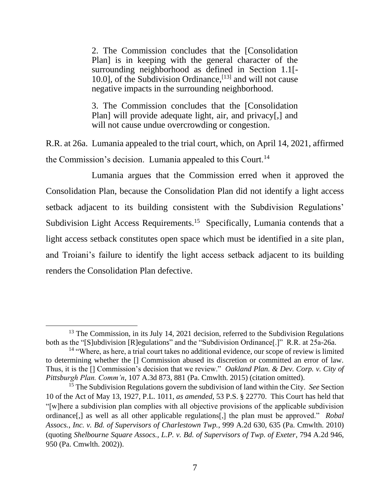2. The Commission concludes that the [Consolidation Plan] is in keeping with the general character of the surrounding neighborhood as defined in Section 1.1[- 10.0], of the Subdivision Ordinance,  $[13]$  and will not cause negative impacts in the surrounding neighborhood.

3. The Commission concludes that the [Consolidation Plan] will provide adequate light, air, and privacy[,] and will not cause undue overcrowding or congestion.

R.R. at 26a. Lumania appealed to the trial court, which, on April 14, 2021, affirmed the Commission's decision. Lumania appealed to this Court.<sup>14</sup>

Lumania argues that the Commission erred when it approved the Consolidation Plan, because the Consolidation Plan did not identify a light access setback adjacent to its building consistent with the Subdivision Regulations' Subdivision Light Access Requirements.<sup>15</sup> Specifically, Lumania contends that a light access setback constitutes open space which must be identified in a site plan, and Troiani's failure to identify the light access setback adjacent to its building renders the Consolidation Plan defective.

 $13$  The Commission, in its July 14, 2021 decision, referred to the Subdivision Regulations both as the "[S]ubdivision [R]egulations" and the "Subdivision Ordinance[.]" R.R. at 25a-26a.

<sup>&</sup>lt;sup>14</sup> "Where, as here, a trial court takes no additional evidence, our scope of review is limited to determining whether the [] Commission abused its discretion or committed an error of law. Thus, it is the [] Commission's decision that we review." *Oakland Plan. & Dev. Corp. v. City of Pittsburgh Plan. Comm'n*, 107 A.3d 873, 881 (Pa. Cmwlth. 2015) (citation omitted).

<sup>15</sup> The Subdivision Regulations govern the subdivision of land within the City. *See* Section 10 of the Act of May 13, 1927, P.L. 1011, *as amended*, 53 P.S. § 22770. This Court has held that "[w]here a subdivision plan complies with all objective provisions of the applicable subdivision ordinance[,] as well as all other applicable regulations[,] the plan must be approved." *Robal Assocs., Inc. v. Bd. of Supervisors of Charlestown Twp.*, 999 A.2d 630, 635 (Pa. Cmwlth. 2010) (quoting *Shelbourne Square Assocs., L.P. v. Bd. of Supervisors of Twp. of Exeter*, 794 A.2d 946, 950 (Pa. Cmwlth. 2002)).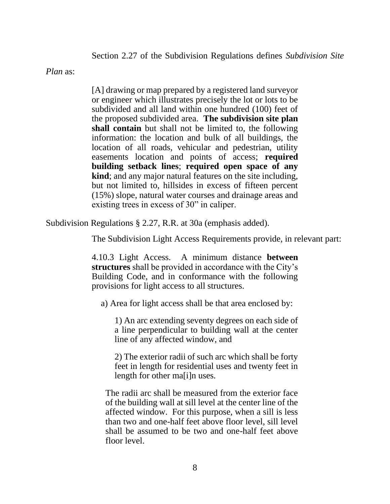Section 2.27 of the Subdivision Regulations defines *Subdivision Site* 

*Plan* as:

[A] drawing or map prepared by a registered land surveyor or engineer which illustrates precisely the lot or lots to be subdivided and all land within one hundred (100) feet of the proposed subdivided area. **The subdivision site plan shall contain** but shall not be limited to, the following information: the location and bulk of all buildings, the location of all roads, vehicular and pedestrian, utility easements location and points of access; **required building setback lines**; **required open space of any kind**; and any major natural features on the site including, but not limited to, hillsides in excess of fifteen percent (15%) slope, natural water courses and drainage areas and existing trees in excess of 30" in caliper.

Subdivision Regulations § 2.27, R.R. at 30a (emphasis added).

The Subdivision Light Access Requirements provide, in relevant part:

4.10.3 Light Access. A minimum distance **between structures** shall be provided in accordance with the City's Building Code, and in conformance with the following provisions for light access to all structures.

a) Area for light access shall be that area enclosed by:

1) An arc extending seventy degrees on each side of a line perpendicular to building wall at the center line of any affected window, and

2) The exterior radii of such arc which shall be forty feet in length for residential uses and twenty feet in length for other ma[i]n uses.

The radii arc shall be measured from the exterior face of the building wall at sill level at the center line of the affected window. For this purpose, when a sill is less than two and one-half feet above floor level, sill level shall be assumed to be two and one-half feet above floor level.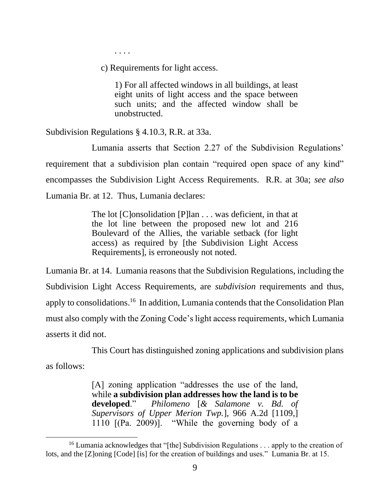. . . .

c) Requirements for light access.

1) For all affected windows in all buildings, at least eight units of light access and the space between such units; and the affected window shall be unobstructed.

Subdivision Regulations § 4.10.3, R.R. at 33a.

Lumania asserts that Section 2.27 of the Subdivision Regulations' requirement that a subdivision plan contain "required open space of any kind" encompasses the Subdivision Light Access Requirements. R.R. at 30a; *see also* Lumania Br. at 12. Thus, Lumania declares:

> The lot [C]onsolidation [P]lan . . . was deficient, in that at the lot line between the proposed new lot and 216 Boulevard of the Allies, the variable setback (for light access) as required by [the Subdivision Light Access Requirements], is erroneously not noted.

Lumania Br. at 14. Lumania reasons that the Subdivision Regulations, including the Subdivision Light Access Requirements, are *subdivision* requirements and thus, apply to consolidations.<sup>16</sup> In addition, Lumania contends that the Consolidation Plan must also comply with the Zoning Code's light access requirements, which Lumania asserts it did not.

This Court has distinguished zoning applications and subdivision plans

as follows:

[A] zoning application "addresses the use of the land, while **a subdivision plan addresses how the land is to be developed**." *Philomeno* [*& Salamone v. Bd. of Supervisors of Upper Merion Twp.*], 966 A.2d [1109,] 1110 [(Pa. 2009)]. "While the governing body of a

<sup>&</sup>lt;sup>16</sup> Lumania acknowledges that "[the] Subdivision Regulations . . . apply to the creation of lots, and the [Z]oning [Code] [is] for the creation of buildings and uses." Lumania Br. at 15.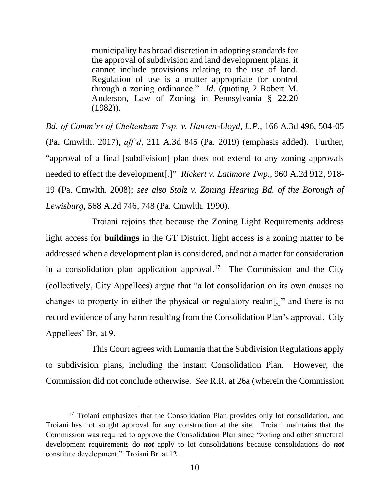municipality has broad discretion in adopting standards for the approval of subdivision and land development plans, it cannot include provisions relating to the use of land. Regulation of use is a matter appropriate for control through a zoning ordinance." *Id*. (quoting 2 Robert M. Anderson, Law of Zoning in Pennsylvania § 22.20 (1982)).

*Bd. of Comm'rs of Cheltenham Twp. v. Hansen-Lloyd, L.P.*, 166 A.3d 496, 504-05 (Pa. Cmwlth. 2017), *aff'd*, 211 A.3d 845 (Pa. 2019) (emphasis added). Further, "approval of a final [subdivision] plan does not extend to any zoning approvals needed to effect the development[.]" *Rickert v. Latimore Twp.*, 960 A.2d 912, 918- 19 (Pa. Cmwlth. 2008); *see also Stolz v. Zoning Hearing Bd. of the Borough of Lewisburg*, 568 A.2d 746, 748 (Pa. Cmwlth. 1990).

Troiani rejoins that because the Zoning Light Requirements address light access for **buildings** in the GT District, light access is a zoning matter to be addressed when a development plan is considered, and not a matter for consideration in a consolidation plan application approval.<sup>17</sup> The Commission and the City (collectively, City Appellees) argue that "a lot consolidation on its own causes no changes to property in either the physical or regulatory realm[,]" and there is no record evidence of any harm resulting from the Consolidation Plan's approval. City Appellees' Br. at 9.

This Court agrees with Lumania that the Subdivision Regulations apply to subdivision plans, including the instant Consolidation Plan. However, the Commission did not conclude otherwise. *See* R.R. at 26a (wherein the Commission

<sup>&</sup>lt;sup>17</sup> Troiani emphasizes that the Consolidation Plan provides only lot consolidation, and Troiani has not sought approval for any construction at the site. Troiani maintains that the Commission was required to approve the Consolidation Plan since "zoning and other structural development requirements do *not* apply to lot consolidations because consolidations do *not* constitute development." Troiani Br. at 12.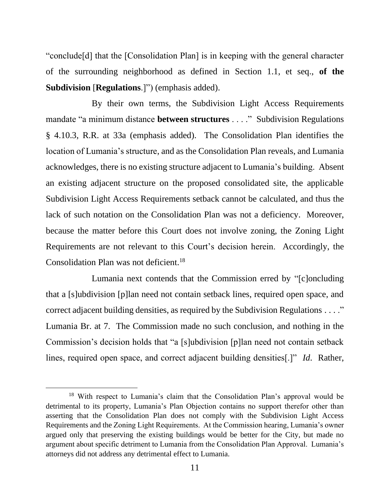"conclude[d] that the [Consolidation Plan] is in keeping with the general character of the surrounding neighborhood as defined in Section 1.1, et seq., **of the Subdivision** [**Regulations**.]") (emphasis added).

By their own terms, the Subdivision Light Access Requirements mandate "a minimum distance **between structures** . . . ." Subdivision Regulations § 4.10.3, R.R. at 33a (emphasis added). The Consolidation Plan identifies the location of Lumania's structure, and as the Consolidation Plan reveals, and Lumania acknowledges, there is no existing structure adjacent to Lumania's building. Absent an existing adjacent structure on the proposed consolidated site, the applicable Subdivision Light Access Requirements setback cannot be calculated, and thus the lack of such notation on the Consolidation Plan was not a deficiency. Moreover, because the matter before this Court does not involve zoning, the Zoning Light Requirements are not relevant to this Court's decision herein. Accordingly, the Consolidation Plan was not deficient.<sup>18</sup>

Lumania next contends that the Commission erred by "[c]oncluding that a [s]ubdivision [p]lan need not contain setback lines, required open space, and correct adjacent building densities, as required by the Subdivision Regulations . . . ." Lumania Br. at 7. The Commission made no such conclusion, and nothing in the Commission's decision holds that "a [s]ubdivision [p]lan need not contain setback lines, required open space, and correct adjacent building densities[.]" *Id*. Rather,

<sup>18</sup> With respect to Lumania's claim that the Consolidation Plan's approval would be detrimental to its property, Lumania's Plan Objection contains no support therefor other than asserting that the Consolidation Plan does not comply with the Subdivision Light Access Requirements and the Zoning Light Requirements. At the Commission hearing, Lumania's owner argued only that preserving the existing buildings would be better for the City, but made no argument about specific detriment to Lumania from the Consolidation Plan Approval. Lumania's attorneys did not address any detrimental effect to Lumania.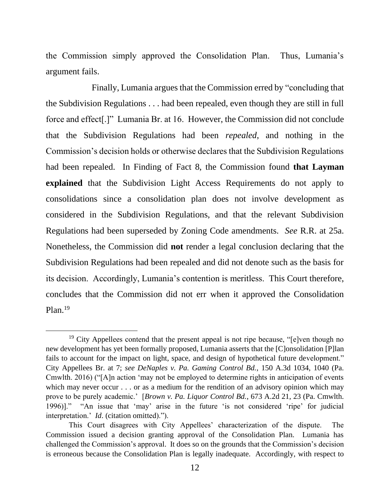the Commission simply approved the Consolidation Plan. Thus, Lumania's argument fails.

Finally, Lumania argues that the Commission erred by "concluding that the Subdivision Regulations . . . had been repealed, even though they are still in full force and effect[.]" Lumania Br. at 16. However, the Commission did not conclude that the Subdivision Regulations had been *repealed*, and nothing in the Commission's decision holds or otherwise declares that the Subdivision Regulations had been repealed. In Finding of Fact 8, the Commission found **that Layman explained** that the Subdivision Light Access Requirements do not apply to consolidations since a consolidation plan does not involve development as considered in the Subdivision Regulations, and that the relevant Subdivision Regulations had been superseded by Zoning Code amendments. *See* R.R. at 25a. Nonetheless, the Commission did **not** render a legal conclusion declaring that the Subdivision Regulations had been repealed and did not denote such as the basis for its decision. Accordingly, Lumania's contention is meritless. This Court therefore, concludes that the Commission did not err when it approved the Consolidation Plan.<sup>19</sup>

<sup>&</sup>lt;sup>19</sup> City Appellees contend that the present appeal is not ripe because, "[e]ven though no new development has yet been formally proposed, Lumania asserts that the [C]onsolidation [P]lan fails to account for the impact on light, space, and design of hypothetical future development." City Appellees Br. at 7; *see DeNaples v. Pa. Gaming Control Bd.*, 150 A.3d 1034, 1040 (Pa. Cmwlth. 2016) ("[A]n action 'may not be employed to determine rights in anticipation of events which may never occur . . . or as a medium for the rendition of an advisory opinion which may prove to be purely academic.' [*Brown v. Pa. Liquor Control Bd.*, 673 A.2d 21, 23 (Pa. Cmwlth. 1996)]." "An issue that 'may' arise in the future 'is not considered 'ripe' for judicial interpretation.' *Id*. (citation omitted).").

This Court disagrees with City Appellees' characterization of the dispute. The Commission issued a decision granting approval of the Consolidation Plan. Lumania has challenged the Commission's approval. It does so on the grounds that the Commission's decision is erroneous because the Consolidation Plan is legally inadequate. Accordingly, with respect to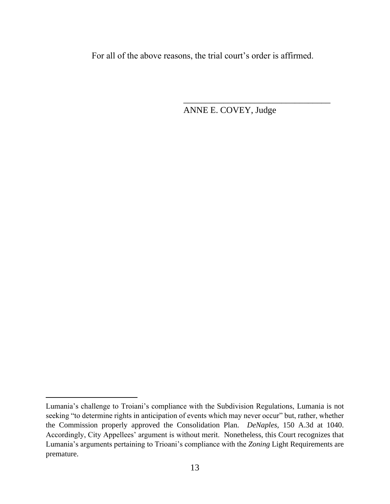For all of the above reasons, the trial court's order is affirmed.

ANNE E. COVEY, Judge

\_\_\_\_\_\_\_\_\_\_\_\_\_\_\_\_\_\_\_\_\_\_\_\_\_\_\_\_\_\_\_\_\_

Lumania's challenge to Troiani's compliance with the Subdivision Regulations, Lumania is not seeking "to determine rights in anticipation of events which may never occur" but, rather, whether the Commission properly approved the Consolidation Plan. *DeNaples*, 150 A.3d at 1040. Accordingly, City Appellees' argument is without merit. Nonetheless, this Court recognizes that Lumania's arguments pertaining to Trioani's compliance with the *Zoning* Light Requirements are premature.